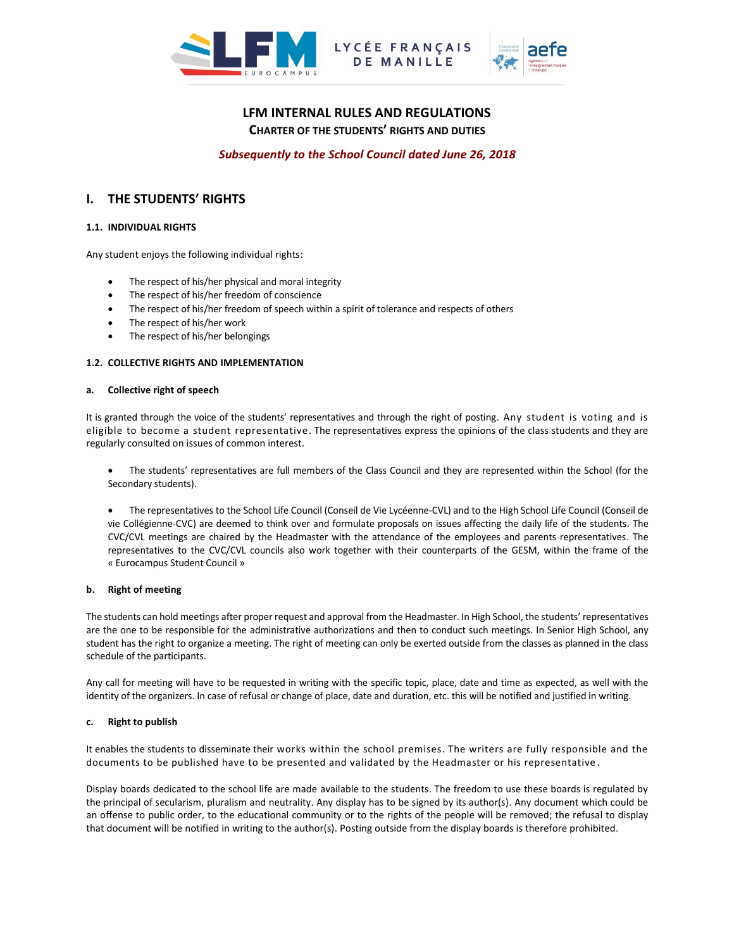



# **LFM INTERNAL RULES AND REGULATIONS CHARTER OF THE STUDENTS' RIGHTS AND DUTIES**

LYCÉE FRANÇAIS

*Subsequently to the School Council dated June 26, 2018*

# **I. THE STUDENTS' RIGHTS**

# **1.1. INDIVIDUAL RIGHTS**

Any student enjoys the following individual rights:

- The respect of his/her physical and moral integrity
- The respect of his/her freedom of conscience
- The respect of his/her freedom of speech within a spirit of tolerance and respects of others
- The respect of his/her work
- The respect of his/her belongings

## **1.2. COLLECTIVE RIGHTS AND IMPLEMENTATION**

## **a. Collective right of speech**

It is granted through the voice of the students' representatives and through the right of posting. Any student is voting and is eligible to become a student representative. The representatives express the opinions of the class students and they are regularly consulted on issues of common interest.

- The students' representatives are full members of the Class Council and they are represented within the School (for the Secondary students).
- The representatives to the School Life Council (Conseil de Vie Lycéenne-CVL) and to the High School Life Council (Conseil de vie Collégienne-CVC) are deemed to think over and formulate proposals on issues affecting the daily life of the students. The CVC/CVL meetings are chaired by the Headmaster with the attendance of the employees and parents representatives. The representatives to the CVC/CVL councils also work together with their counterparts of the GESM, within the frame of the « Eurocampus Student Council »

## **b. Right of meeting**

The students can hold meetings after proper request and approval from the Headmaster. In High School, the students' representatives are the one to be responsible for the administrative authorizations and then to conduct such meetings. In Senior High School, any student has the right to organize a meeting. The right of meeting can only be exerted outside from the classes as planned in the class schedule of the participants.

Any call for meeting will have to be requested in writing with the specific topic, place, date and time as expected, as well with the identity of the organizers. In case of refusal or change of place, date and duration, etc. this will be notified and justified in writing.

## **c. Right to publish**

It enables the students to disseminate their works within the school premises. The writers are fully responsible and the documents to be published have to be presented and validated by the Headmaster or his representative .

Display boards dedicated to the school life are made available to the students. The freedom to use these boards is regulated by the principal of secularism, pluralism and neutrality. Any display has to be signed by its author(s). Any document which could be an offense to public order, to the educational community or to the rights of the people will be removed; the refusal to display that document will be notified in writing to the author(s). Posting outside from the display boards is therefore prohibited.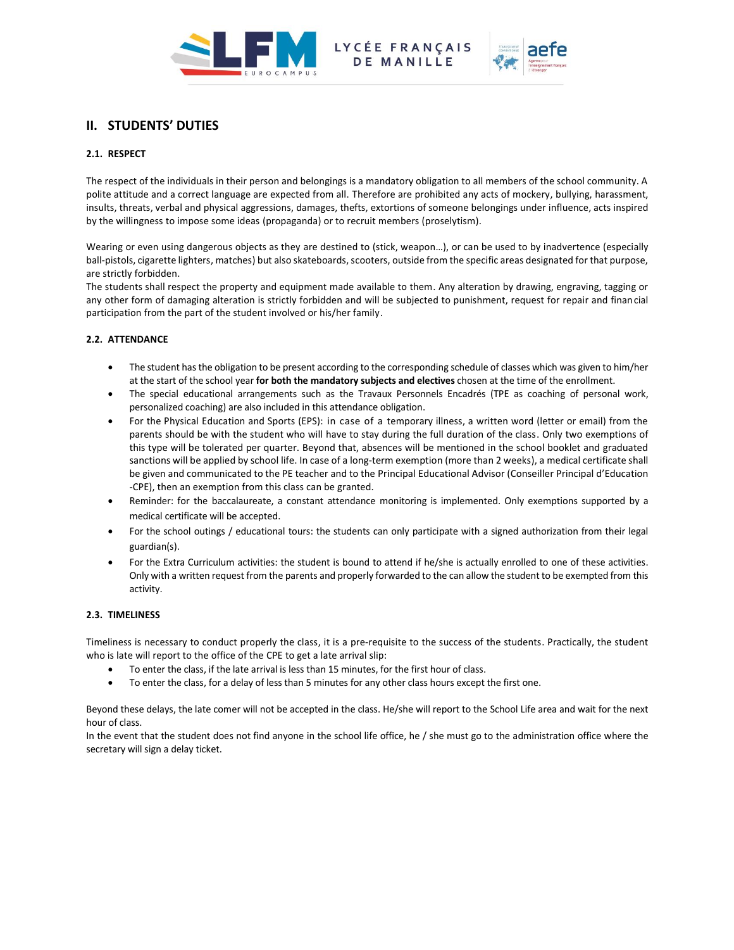

LYCÉE FRANÇAIS<br>DE MANILLE



# **II. STUDENTS' DUTIES**

# **2.1. RESPECT**

The respect of the individuals in their person and belongings is a mandatory obligation to all members of the school community. A polite attitude and a correct language are expected from all. Therefore are prohibited any acts of mockery, bullying, harassment, insults, threats, verbal and physical aggressions, damages, thefts, extortions of someone belongings under influence, acts inspired by the willingness to impose some ideas (propaganda) or to recruit members (proselytism).

Wearing or even using dangerous objects as they are destined to (stick, weapon…), or can be used to by inadvertence (especially ball-pistols, cigarette lighters, matches) but also skateboards, scooters, outside from the specific areas designated for that purpose, are strictly forbidden.

The students shall respect the property and equipment made available to them. Any alteration by drawing, engraving, tagging or any other form of damaging alteration is strictly forbidden and will be subjected to punishment, request for repair and financial participation from the part of the student involved or his/her family.

# **2.2. ATTENDANCE**

- The student has the obligation to be present according to the corresponding schedule of classes which was given to him/her at the start of the school year **for both the mandatory subjects and electives** chosen at the time of the enrollment.
- The special educational arrangements such as the Travaux Personnels Encadrés (TPE as coaching of personal work, personalized coaching) are also included in this attendance obligation.
- For the Physical Education and Sports (EPS): in case of a temporary illness, a written word (letter or email) from the parents should be with the student who will have to stay during the full duration of the class. Only two exemptions of this type will be tolerated per quarter. Beyond that, absences will be mentioned in the school booklet and graduated sanctions will be applied by school life. In case of a long-term exemption (more than 2 weeks), a medical certificate shall be given and communicated to the PE teacher and to the Principal Educational Advisor (Conseiller Principal d'Education -CPE), then an exemption from this class can be granted.
- Reminder: for the baccalaureate, a constant attendance monitoring is implemented. Only exemptions supported by a medical certificate will be accepted.
- For the school outings / educational tours: the students can only participate with a signed authorization from their legal guardian(s).
- For the Extra Curriculum activities: the student is bound to attend if he/she is actually enrolled to one of these activities. Only with a written request from the parents and properly forwarded to the can allow the student to be exempted from this activity.

# **2.3. TIMELINESS**

Timeliness is necessary to conduct properly the class, it is a pre-requisite to the success of the students. Practically, the student who is late will report to the office of the CPE to get a late arrival slip:

- To enter the class, if the late arrival is less than 15 minutes, for the first hour of class.
- To enter the class, for a delay of less than 5 minutes for any other class hours except the first one.

Beyond these delays, the late comer will not be accepted in the class. He/she will report to the School Life area and wait for the next hour of class.

In the event that the student does not find anyone in the school life office, he / she must go to the administration office where the secretary will sign a delay ticket.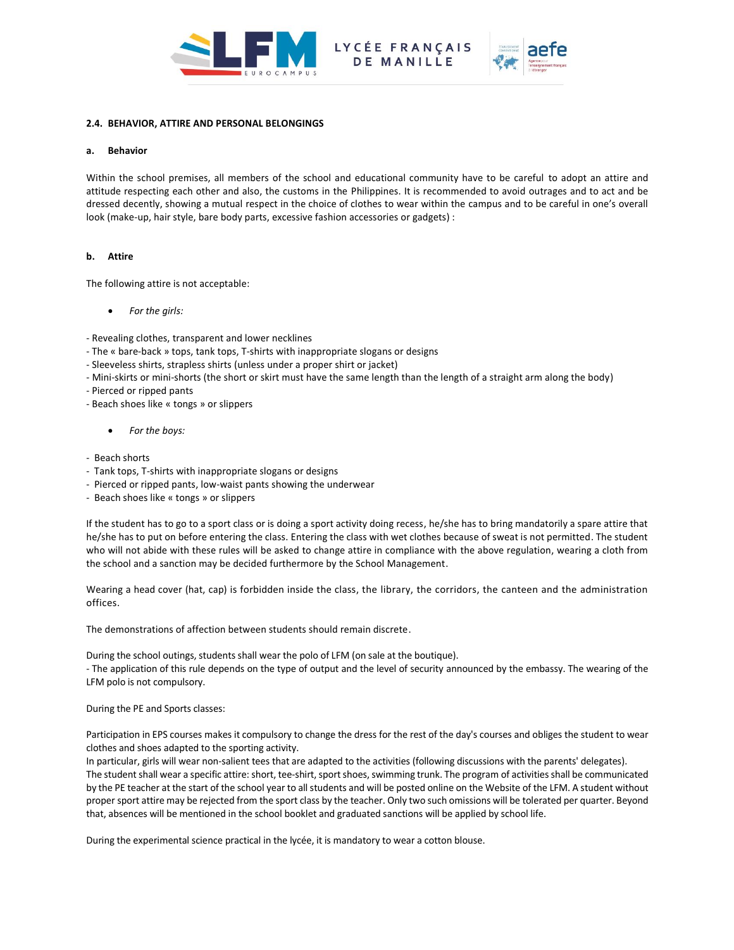



# **2.4. BEHAVIOR, ATTIRE AND PERSONAL BELONGINGS**

# **a. Behavior**

Within the school premises, all members of the school and educational community have to be careful to adopt an attire and attitude respecting each other and also, the customs in the Philippines. It is recommended to avoid outrages and to act and be dressed decently, showing a mutual respect in the choice of clothes to wear within the campus and to be careful in one's overall look (make-up, hair style, bare body parts, excessive fashion accessories or gadgets) :

# **b. Attire**

The following attire is not acceptable:

*For the girls:* 

- Revealing clothes, transparent and lower necklines

- The « bare-back » tops, tank tops, T-shirts with inappropriate slogans or designs
- Sleeveless shirts, strapless shirts (unless under a proper shirt or jacket)
- Mini-skirts or mini-shorts (the short or skirt must have the same length than the length of a straight arm along the body)

- Pierced or ripped pants

- Beach shoes like « tongs » or slippers
	- *For the boys:*
- Beach shorts
- Tank tops, T-shirts with inappropriate slogans or designs
- Pierced or ripped pants, low-waist pants showing the underwear
- Beach shoes like « tongs » or slippers

If the student has to go to a sport class or is doing a sport activity doing recess, he/she has to bring mandatorily a spare attire that he/she has to put on before entering the class. Entering the class with wet clothes because of sweat is not permitted. The student who will not abide with these rules will be asked to change attire in compliance with the above regulation, wearing a cloth from the school and a sanction may be decided furthermore by the School Management.

Wearing a head cover (hat, cap) is forbidden inside the class, the library, the corridors, the canteen and the administration offices.

The demonstrations of affection between students should remain discrete.

During the school outings, students shall wear the polo of LFM (on sale at the boutique). - The application of this rule depends on the type of output and the level of security announced by the embassy. The wearing of the LFM polo is not compulsory.

During the PE and Sports classes:

Participation in EPS courses makes it compulsory to change the dress for the rest of the day's courses and obliges the student to wear clothes and shoes adapted to the sporting activity.

In particular, girls will wear non-salient tees that are adapted to the activities (following discussions with the parents' delegates). The student shall wear a specific attire: short, tee-shirt, sport shoes, swimming trunk. The program of activities shall be communicated by the PE teacher at the start of the school year to all students and will be posted online on the Website of the LFM. A student without proper sport attire may be rejected from the sport class by the teacher. Only two such omissions will be tolerated per quarter. Beyond that, absences will be mentioned in the school booklet and graduated sanctions will be applied by school life.

During the experimental science practical in the lycée, it is mandatory to wear a cotton blouse.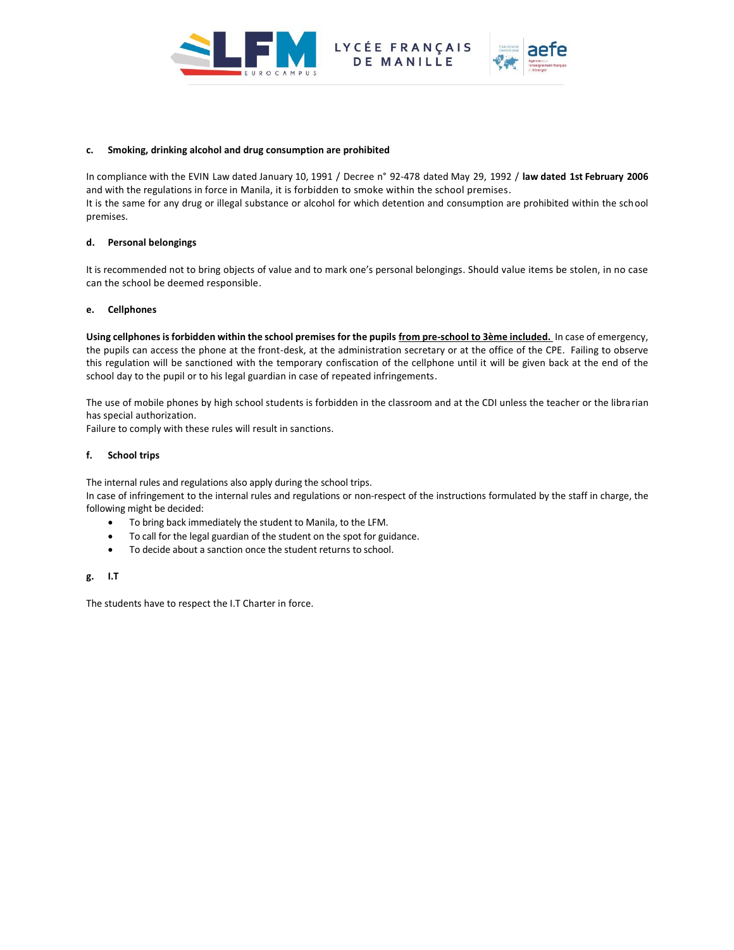

LYCÉE FRANÇAIS MANILLE



#### **c. Smoking, drinking alcohol and drug consumption are prohibited**

In compliance with the EVIN Law dated January 10, 1991 / Decree n° 92-478 dated May 29, 1992 / **law dated 1st February 2006** and with the regulations in force in Manila, it is forbidden to smoke within the school premises. It is the same for any drug or illegal substance or alcohol for which detention and consumption are prohibited within the school premises.

## **d. Personal belongings**

It is recommended not to bring objects of value and to mark one's personal belongings. Should value items be stolen, in no case can the school be deemed responsible.

## **e. Cellphones**

**Using cellphones is forbidden within the school premises for the pupils from pre-school to 3ème included.** In case of emergency, the pupils can access the phone at the front-desk, at the administration secretary or at the office of the CPE. Failing to observe this regulation will be sanctioned with the temporary confiscation of the cellphone until it will be given back at the end of the school day to the pupil or to his legal guardian in case of repeated infringements.

The use of mobile phones by high school students is forbidden in the classroom and at the CDI unless the teacher or the libra rian has special authorization.

Failure to comply with these rules will result in sanctions.

## **f. School trips**

The internal rules and regulations also apply during the school trips.

In case of infringement to the internal rules and regulations or non-respect of the instructions formulated by the staff in charge, the following might be decided:

- To bring back immediately the student to Manila, to the LFM.
- To call for the legal guardian of the student on the spot for guidance.
- To decide about a sanction once the student returns to school.

# **g. I.T**

The students have to respect the I.T Charter in force.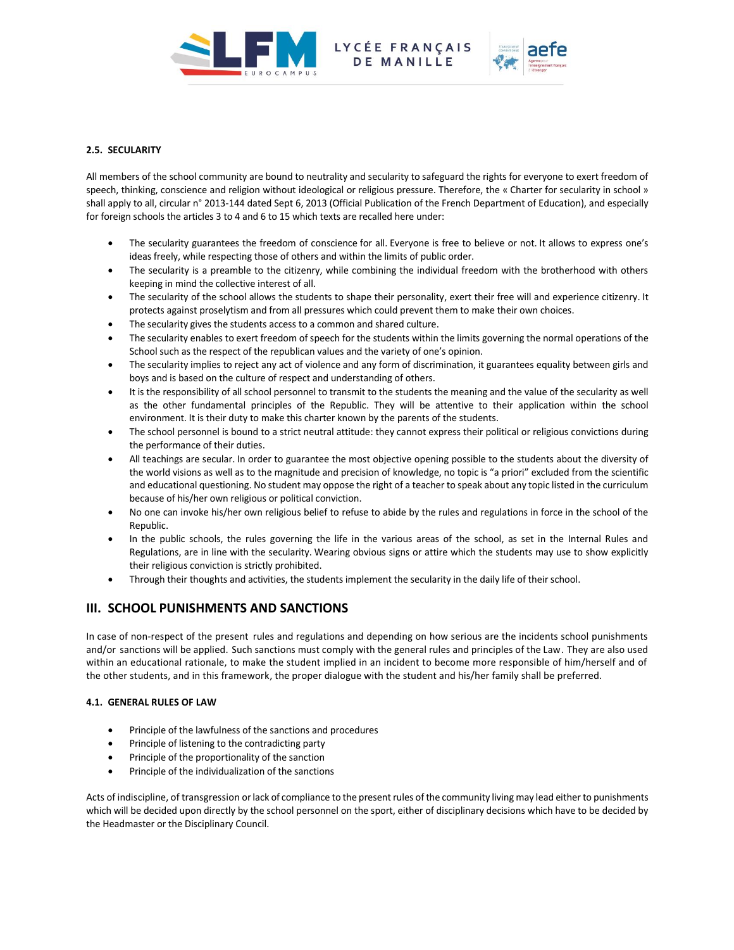

LYCÉE FRANÇAIS<br>DE MANILLE



# **2.5. SECULARITY**

All members of the school community are bound to neutrality and secularity to safeguard the rights for everyone to exert freedom of speech, thinking, conscience and religion without ideological or religious pressure. Therefore, the « Charter for secularity in school » shall apply to all, circular n° 2013-144 dated Sept 6, 2013 (Official Publication of the French Department of Education), and especially for foreign schools the articles 3 to 4 and 6 to 15 which texts are recalled here under:

- The secularity guarantees the freedom of conscience for all. Everyone is free to believe or not. It allows to express one's ideas freely, while respecting those of others and within the limits of public order.
- The secularity is a preamble to the citizenry, while combining the individual freedom with the brotherhood with others keeping in mind the collective interest of all.
- The secularity of the school allows the students to shape their personality, exert their free will and experience citizenry. It protects against proselytism and from all pressures which could prevent them to make their own choices.
- The secularity gives the students access to a common and shared culture.
- The secularity enables to exert freedom of speech for the students within the limits governing the normal operations of the School such as the respect of the republican values and the variety of one's opinion.
- The secularity implies to reject any act of violence and any form of discrimination, it guarantees equality between girls and boys and is based on the culture of respect and understanding of others.
- It is the responsibility of all school personnel to transmit to the students the meaning and the value of the secularity as well as the other fundamental principles of the Republic. They will be attentive to their application within the school environment. It is their duty to make this charter known by the parents of the students.
- The school personnel is bound to a strict neutral attitude: they cannot express their political or religious convictions during the performance of their duties.
- All teachings are secular. In order to guarantee the most objective opening possible to the students about the diversity of the world visions as well as to the magnitude and precision of knowledge, no topic is "a priori" excluded from the scientific and educational questioning. No student may oppose the right of a teacher to speak about any topic listed in the curriculum because of his/her own religious or political conviction.
- No one can invoke his/her own religious belief to refuse to abide by the rules and regulations in force in the school of the Republic.
- In the public schools, the rules governing the life in the various areas of the school, as set in the Internal Rules and Regulations, are in line with the secularity. Wearing obvious signs or attire which the students may use to show explicitly their religious conviction is strictly prohibited.
- Through their thoughts and activities, the students implement the secularity in the daily life of their school.

# **III. SCHOOL PUNISHMENTS AND SANCTIONS**

In case of non-respect of the present rules and regulations and depending on how serious are the incidents school punishments and/or sanctions will be applied. Such sanctions must comply with the general rules and principles of the Law. They are also used within an educational rationale, to make the student implied in an incident to become more responsible of him/herself and of the other students, and in this framework, the proper dialogue with the student and his/her family shall be preferred.

# **4.1. GENERAL RULES OF LAW**

- Principle of the lawfulness of the sanctions and procedures
- Principle of listening to the contradicting party
- Principle of the proportionality of the sanction
- Principle of the individualization of the sanctions

Acts of indiscipline, of transgression or lack of compliance to the present rules of the community living may lead either to punishments which will be decided upon directly by the school personnel on the sport, either of disciplinary decisions which have to be decided by the Headmaster or the Disciplinary Council.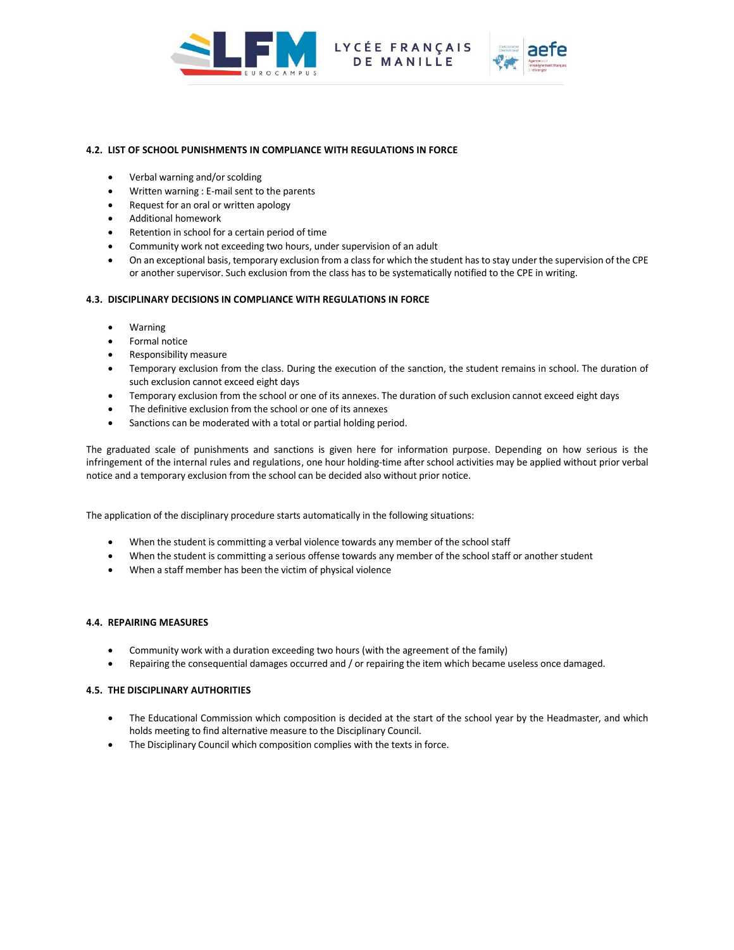

# **4.2. LIST OF SCHOOL PUNISHMENTS IN COMPLIANCE WITH REGULATIONS IN FORCE**

- Verbal warning and/or scolding
- Written warning : E-mail sent to the parents
- Request for an oral or written apology
- Additional homework
- Retention in school for a certain period of time
- Community work not exceeding two hours, under supervision of an adult
- On an exceptional basis, temporary exclusion from a class for which the student has to stay under the supervision of the CPE or another supervisor. Such exclusion from the class has to be systematically notified to the CPE in writing.

## **4.3. DISCIPLINARY DECISIONS IN COMPLIANCE WITH REGULATIONS IN FORCE**

- Warning
- Formal notice
- Responsibility measure
- Temporary exclusion from the class. During the execution of the sanction, the student remains in school. The duration of such exclusion cannot exceed eight days
- Temporary exclusion from the school or one of its annexes. The duration of such exclusion cannot exceed eight days
- The definitive exclusion from the school or one of its annexes
- Sanctions can be moderated with a total or partial holding period.

The graduated scale of punishments and sanctions is given here for information purpose. Depending on how serious is the infringement of the internal rules and regulations, one hour holding-time after school activities may be applied without prior verbal notice and a temporary exclusion from the school can be decided also without prior notice.

The application of the disciplinary procedure starts automatically in the following situations:

- When the student is committing a verbal violence towards any member of the school staff
- When the student is committing a serious offense towards any member of the school staff or another student
- When a staff member has been the victim of physical violence

# **4.4. REPAIRING MEASURES**

- Community work with a duration exceeding two hours (with the agreement of the family)
- Repairing the consequential damages occurred and / or repairing the item which became useless once damaged.

## **4.5. THE DISCIPLINARY AUTHORITIES**

- The Educational Commission which composition is decided at the start of the school year by the Headmaster, and which holds meeting to find alternative measure to the Disciplinary Council.
- The Disciplinary Council which composition complies with the texts in force.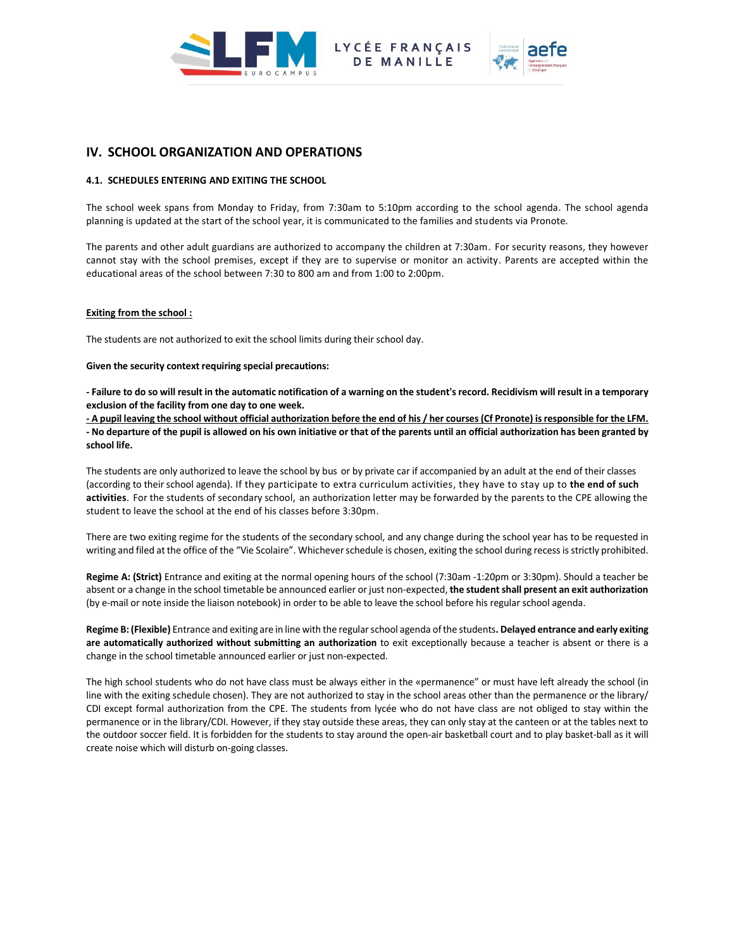



# **IV. SCHOOL ORGANIZATION AND OPERATIONS**

## **4.1. SCHEDULES ENTERING AND EXITING THE SCHOOL**

The school week spans from Monday to Friday, from 7:30am to 5:10pm according to the school agenda. The school agenda planning is updated at the start of the school year, it is communicated to the families and students via Pronote.

MANILLE

The parents and other adult guardians are authorized to accompany the children at 7:30am. For security reasons, they however cannot stay with the school premises, except if they are to supervise or monitor an activity. Parents are accepted within the educational areas of the school between 7:30 to 800 am and from 1:00 to 2:00pm.

## **Exiting from the school :**

The students are not authorized to exit the school limits during their school day.

**Given the security context requiring special precautions:**

**- Failure to do so will result in the automatic notification of a warning on the student's record. Recidivism will result in a temporary exclusion of the facility from one day to one week.**

**- A pupil leaving the school without official authorization before the end of his / her courses (Cf Pronote) is responsible for the LFM. - No departure of the pupil is allowed on his own initiative or that of the parents until an official authorization has been granted by school life.**

The students are only authorized to leave the school by bus or by private car if accompanied by an adult at the end of their classes (according to their school agenda). If they participate to extra curriculum activities, they have to stay up to **the end of such activities**. For the students of secondary school, an authorization letter may be forwarded by the parents to the CPE allowing the student to leave the school at the end of his classes before 3:30pm.

There are two exiting regime for the students of the secondary school, and any change during the school year has to be requested in writing and filed at the office of the "Vie Scolaire". Whichever schedule is chosen, exiting the school during recess is strictly prohibited.

**Regime A: (Strict)** Entrance and exiting at the normal opening hours of the school (7:30am -1:20pm or 3:30pm). Should a teacher be absent or a change in the school timetable be announced earlier or just non-expected, **the student shall present an exit authorization** (by e-mail or note inside the liaison notebook) in order to be able to leave the school before his regular school agenda.

**Regime B: (Flexible)** Entrance and exiting are in line with the regular school agenda of the students**. Delayed entrance and early exiting are automatically authorized without submitting an authorization** to exit exceptionally because a teacher is absent or there is a change in the school timetable announced earlier or just non-expected.

The high school students who do not have class must be always either in the «permanence" or must have left already the school (in line with the exiting schedule chosen). They are not authorized to stay in the school areas other than the permanence or the library/ CDI except formal authorization from the CPE. The students from lycée who do not have class are not obliged to stay within the permanence or in the library/CDI. However, if they stay outside these areas, they can only stay at the canteen or at the tables next to the outdoor soccer field. It is forbidden for the students to stay around the open-air basketball court and to play basket-ball as it will create noise which will disturb on-going classes.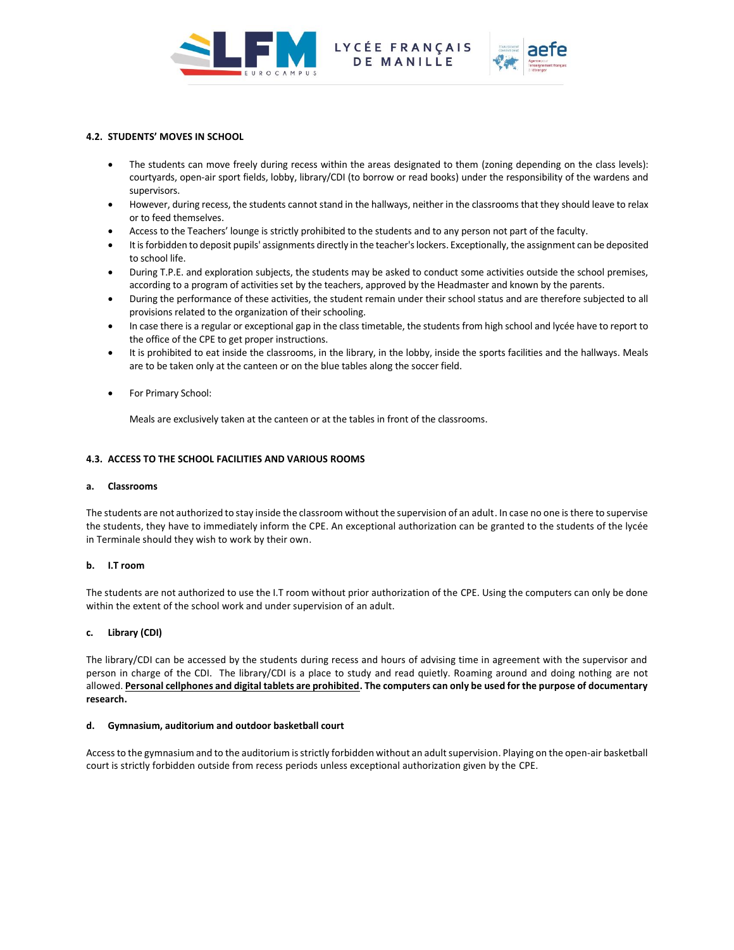

LYCÉE FRANÇAIS MANILLE



# **4.2. STUDENTS' MOVES IN SCHOOL**

- The students can move freely during recess within the areas designated to them (zoning depending on the class levels): courtyards, open-air sport fields, lobby, library/CDI (to borrow or read books) under the responsibility of the wardens and supervisors.
- However, during recess, the students cannot stand in the hallways, neither in the classrooms that they should leave to relax or to feed themselves.
- Access to the Teachers' lounge is strictly prohibited to the students and to any person not part of the faculty.
- It is forbidden to deposit pupils' assignments directly in the teacher's lockers. Exceptionally, the assignment can be deposited to school life.
- During T.P.E. and exploration subjects, the students may be asked to conduct some activities outside the school premises, according to a program of activities set by the teachers, approved by the Headmaster and known by the parents.
- During the performance of these activities, the student remain under their school status and are therefore subjected to all provisions related to the organization of their schooling.
- In case there is a regular or exceptional gap in the class timetable, the students from high school and lycée have to report to the office of the CPE to get proper instructions.
- It is prohibited to eat inside the classrooms, in the library, in the lobby, inside the sports facilities and the hallways. Meals are to be taken only at the canteen or on the blue tables along the soccer field.
- For Primary School:

Meals are exclusively taken at the canteen or at the tables in front of the classrooms.

# **4.3. ACCESS TO THE SCHOOL FACILITIES AND VARIOUS ROOMS**

## **a. Classrooms**

The students are not authorized to stay inside the classroom without the supervision of an adult. In case no one is there to supervise the students, they have to immediately inform the CPE. An exceptional authorization can be granted to the students of the lycée in Terminale should they wish to work by their own.

# **b. I.T room**

The students are not authorized to use the I.T room without prior authorization of the CPE. Using the computers can only be done within the extent of the school work and under supervision of an adult.

# **c. Library (CDI)**

The library/CDI can be accessed by the students during recess and hours of advising time in agreement with the supervisor and person in charge of the CDI. The library/CDI is a place to study and read quietly. Roaming around and doing nothing are not allowed. **Personal cellphones and digital tablets are prohibited. The computers can only be used for the purpose of documentary research.**

## **d. Gymnasium, auditorium and outdoor basketball court**

Access to the gymnasium and to the auditorium is strictly forbidden without an adult supervision. Playing on the open-air basketball court is strictly forbidden outside from recess periods unless exceptional authorization given by the CPE.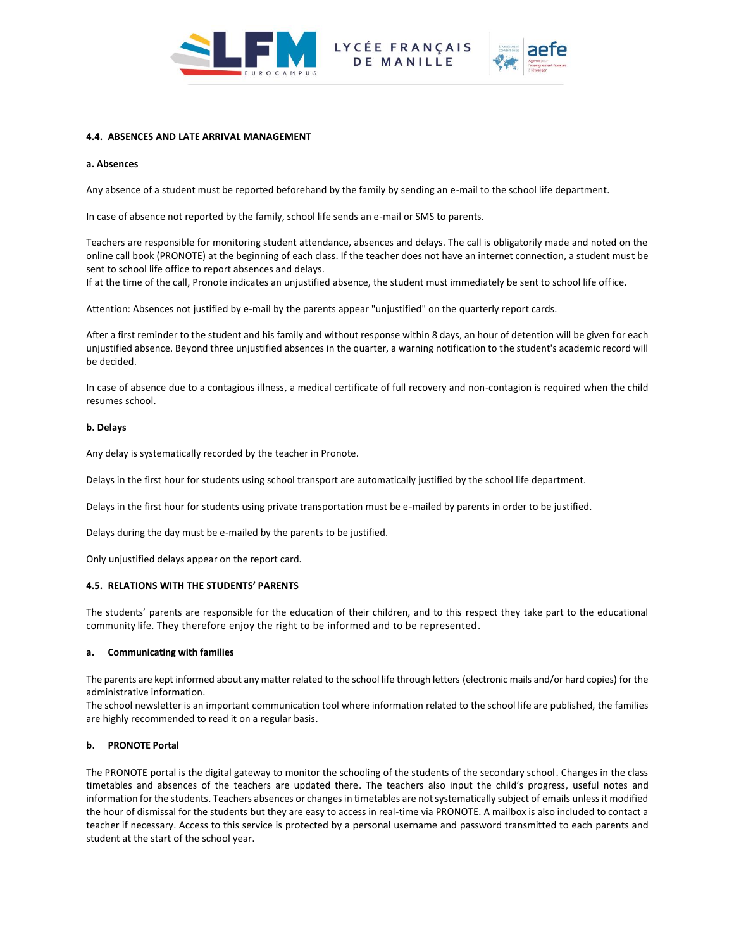



# **4.4. ABSENCES AND LATE ARRIVAL MANAGEMENT**

#### **a. Absences**

Any absence of a student must be reported beforehand by the family by sending an e-mail to the school life department.

In case of absence not reported by the family, school life sends an e-mail or SMS to parents.

Teachers are responsible for monitoring student attendance, absences and delays. The call is obligatorily made and noted on the online call book (PRONOTE) at the beginning of each class. If the teacher does not have an internet connection, a student must be sent to school life office to report absences and delays.

If at the time of the call, Pronote indicates an unjustified absence, the student must immediately be sent to school life office.

Attention: Absences not justified by e-mail by the parents appear "unjustified" on the quarterly report cards.

After a first reminder to the student and his family and without response within 8 days, an hour of detention will be given for each unjustified absence. Beyond three unjustified absences in the quarter, a warning notification to the student's academic record will be decided.

In case of absence due to a contagious illness, a medical certificate of full recovery and non-contagion is required when the child resumes school.

## **b. Delays**

Any delay is systematically recorded by the teacher in Pronote.

Delays in the first hour for students using school transport are automatically justified by the school life department.

Delays in the first hour for students using private transportation must be e-mailed by parents in order to be justified.

Delays during the day must be e-mailed by the parents to be justified.

Only unjustified delays appear on the report card.

## **4.5. RELATIONS WITH THE STUDENTS' PARENTS**

The students' parents are responsible for the education of their children, and to this respect they take part to the educational community life. They therefore enjoy the right to be informed and to be represented.

#### **a. Communicating with families**

The parents are kept informed about any matter related to the school life through letters (electronic mails and/or hard copies) for the administrative information.

The school newsletter is an important communication tool where information related to the school life are published, the families are highly recommended to read it on a regular basis.

## **b. PRONOTE Portal**

The PRONOTE portal is the digital gateway to monitor the schooling of the students of the secondary school. Changes in the class timetables and absences of the teachers are updated there. The teachers also input the child's progress, useful notes and information for the students. Teachers absences or changes in timetables are not systematically subject of emails unless it modified the hour of dismissal for the students but they are easy to access in real-time via PRONOTE. A mailbox is also included to contact a teacher if necessary. Access to this service is protected by a personal username and password transmitted to each parents and student at the start of the school year.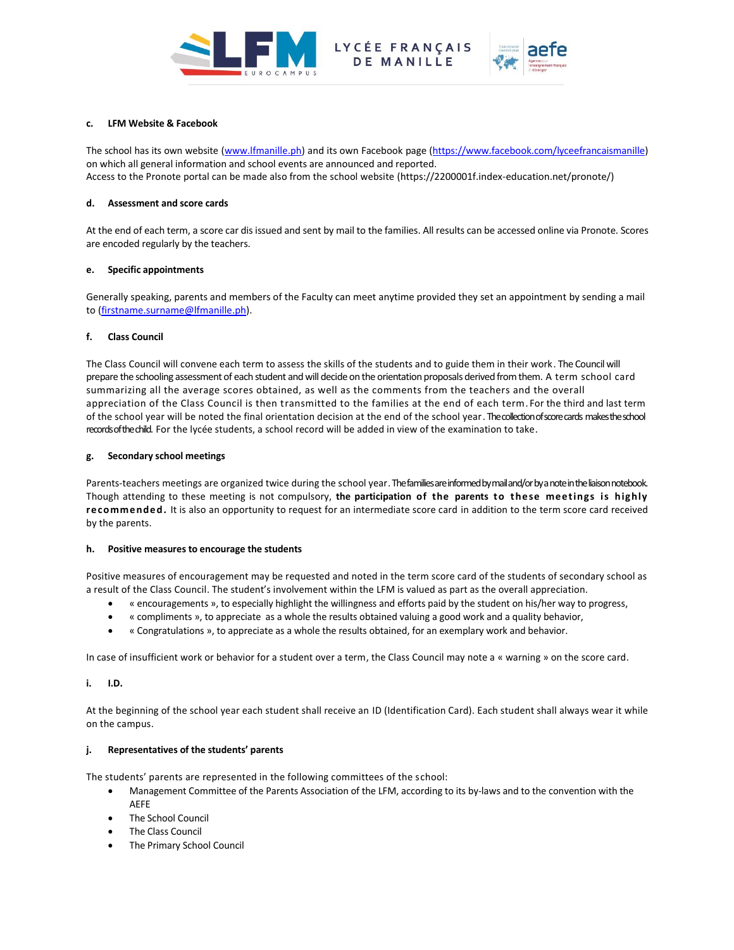



# **c. LFM Website & Facebook**

The school has its own website [\(www.lfmanille.ph\)](http://www.lfmanille.ph/) and its own Facebook page [\(https://www.facebook.com/lyceefrancaismanille\)](https://www.facebook.com/lyceefrancaismanille) on which all general information and school events are announced and reported. Access to the Pronote portal can be made also from the school website (https://2200001f.index-education.net/pronote/)

MANILLE

## **d. Assessment and score cards**

At the end of each term, a score car dis issued and sent by mail to the families. All results can be accessed online via Pronote. Scores are encoded regularly by the teachers.

# **e. Specific appointments**

Generally speaking, parents and members of the Faculty can meet anytime provided they set an appointment by sending a mail to [\(firstname.surname@lfmanille.ph\)](mailto:firstname.surname@lfmanille.ph).

# **f. Class Council**

The Class Council will convene each term to assess the skills of the students and to guide them in their work. The Council will prepare the schooling assessment of each student and will decide on the orientation proposals derived from them. A term school card summarizing all the average scores obtained, as well as the comments from the teachers and the overall appreciation of the Class Council is then transmitted to the families at the end of each term. For the third and last term of the school year will be noted the final orientation decision at the end of the school year. The collection of score cards makesthe school records of the child. For the lycée students, a school record will be added in view of the examination to take.

# **g. Secondary school meetings**

Parents-teachers meetings are organized twice during the school year. The families are informed by mail and/or by a note in the liaison notebook. Though attending to these meeting is not compulsory, **the participation of the parents to these meetings is highly recommended.** It is also an opportunity to request for an intermediate score card in addition to the term score card received by the parents.

## **h. Positive measures to encourage the students**

Positive measures of encouragement may be requested and noted in the term score card of the students of secondary school as a result of the Class Council. The student's involvement within the LFM is valued as part as the overall appreciation.

- « encouragements », to especially highlight the willingness and efforts paid by the student on his/her way to progress,
- « compliments », to appreciate as a whole the results obtained valuing a good work and a quality behavior,
- « Congratulations », to appreciate as a whole the results obtained, for an exemplary work and behavior.

In case of insufficient work or behavior for a student over a term, the Class Council may note a « warning » on the score card.

# **i. I.D.**

At the beginning of the school year each student shall receive an ID (Identification Card). Each student shall always wear it while on the campus.

# **j. Representatives of the students' parents**

The students' parents are represented in the following committees of the school:

- Management Committee of the Parents Association of the LFM, according to its by-laws and to the convention with the AEFE
- The School Council
- The Class Council
- The Primary School Council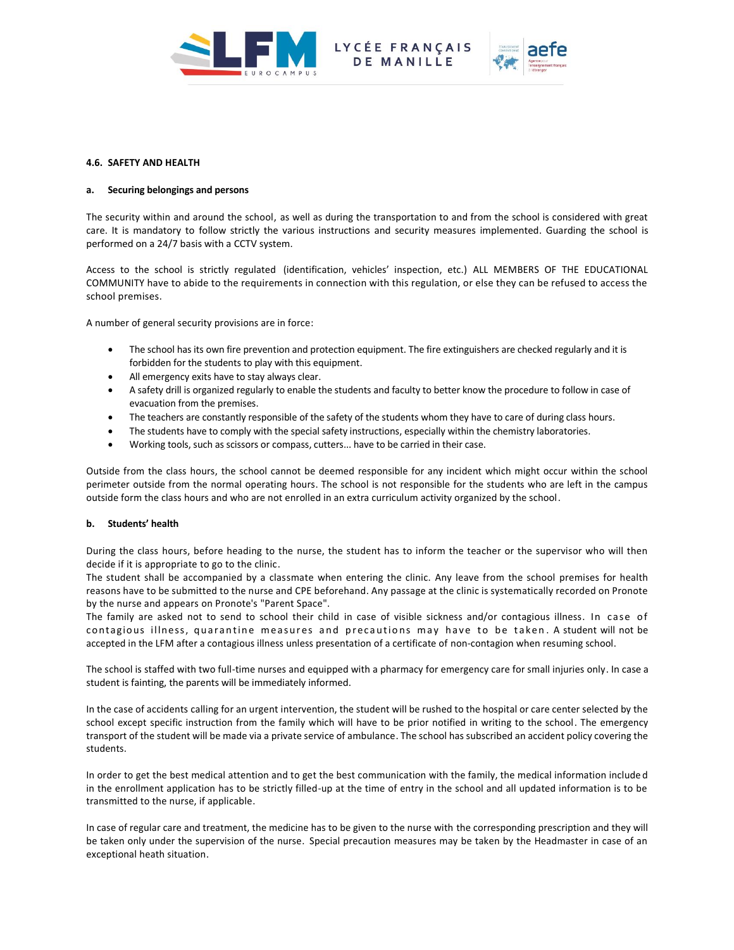

LYCÉE FRANÇAIS



## **4.6. SAFETY AND HEALTH**

# **a. Securing belongings and persons**

The security within and around the school, as well as during the transportation to and from the school is considered with great care. It is mandatory to follow strictly the various instructions and security measures implemented. Guarding the school is performed on a 24/7 basis with a CCTV system.

Access to the school is strictly regulated (identification, vehicles' inspection, etc.) ALL MEMBERS OF THE EDUCATIONAL COMMUNITY have to abide to the requirements in connection with this regulation, or else they can be refused to access the school premises.

A number of general security provisions are in force:

- The school has its own fire prevention and protection equipment. The fire extinguishers are checked regularly and it is forbidden for the students to play with this equipment.
- All emergency exits have to stay always clear.
- A safety drill is organized regularly to enable the students and faculty to better know the procedure to follow in case of evacuation from the premises.
- The teachers are constantly responsible of the safety of the students whom they have to care of during class hours.
- The students have to comply with the special safety instructions, especially within the chemistry laboratories.
- Working tools, such as scissors or compass, cutters... have to be carried in their case.

Outside from the class hours, the school cannot be deemed responsible for any incident which might occur within the school perimeter outside from the normal operating hours. The school is not responsible for the students who are left in the campus outside form the class hours and who are not enrolled in an extra curriculum activity organized by the school.

# **b. Students' health**

During the class hours, before heading to the nurse, the student has to inform the teacher or the supervisor who will then decide if it is appropriate to go to the clinic.

The student shall be accompanied by a classmate when entering the clinic. Any leave from the school premises for health reasons have to be submitted to the nurse and CPE beforehand. Any passage at the clinic is systematically recorded on Pronote by the nurse and appears on Pronote's "Parent Space".

The family are asked not to send to school their child in case of visible sickness and/or contagious illness. In case of contagious illness, quarantine measures and precautions may have to be taken. A student will not be accepted in the LFM after a contagious illness unless presentation of a certificate of non-contagion when resuming school.

The school is staffed with two full-time nurses and equipped with a pharmacy for emergency care for small injuries only. In case a student is fainting, the parents will be immediately informed.

In the case of accidents calling for an urgent intervention, the student will be rushed to the hospital or care center selected by the school except specific instruction from the family which will have to be prior notified in writing to the school. The emergency transport of the student will be made via a private service of ambulance. The school has subscribed an accident policy covering the students.

In order to get the best medical attention and to get the best communication with the family, the medical information include d in the enrollment application has to be strictly filled-up at the time of entry in the school and all updated information is to be transmitted to the nurse, if applicable.

In case of regular care and treatment, the medicine has to be given to the nurse with the corresponding prescription and they will be taken only under the supervision of the nurse. Special precaution measures may be taken by the Headmaster in case of an exceptional heath situation.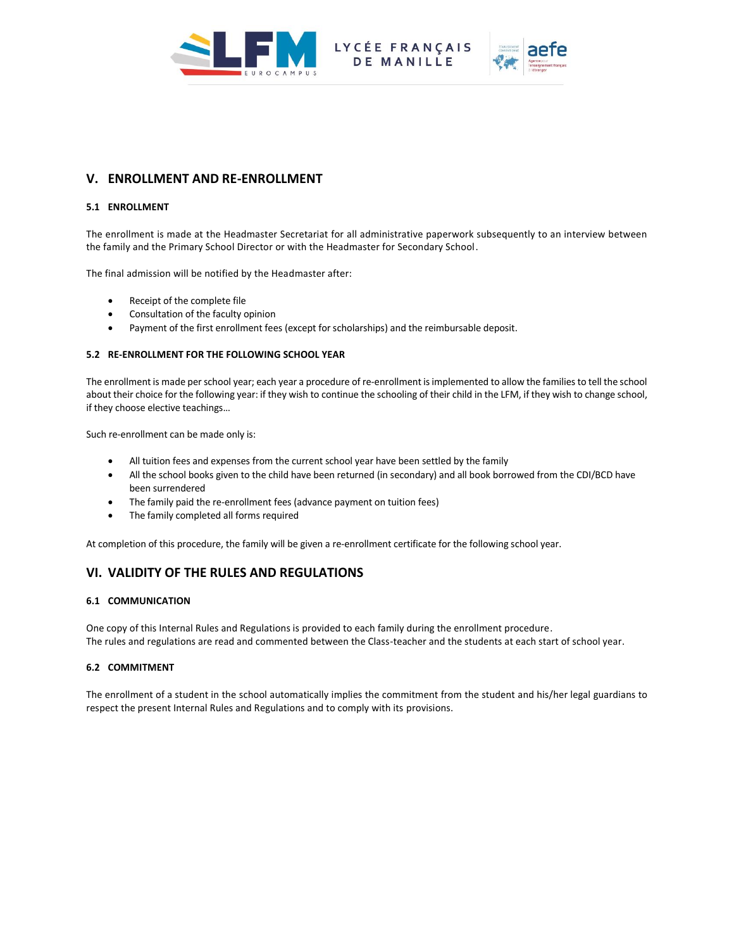



# **V. ENROLLMENT AND RE-ENROLLMENT**

# **5.1 ENROLLMENT**

The enrollment is made at the Headmaster Secretariat for all administrative paperwork subsequently to an interview between the family and the Primary School Director or with the Headmaster for Secondary School.

The final admission will be notified by the Headmaster after:

- Receipt of the complete file
- Consultation of the faculty opinion
- Payment of the first enrollment fees (except for scholarships) and the reimbursable deposit.

# **5.2 RE-ENROLLMENT FOR THE FOLLOWING SCHOOL YEAR**

The enrollment is made per school year; each year a procedure of re-enrollment is implemented to allow the families to tell the school about their choice for the following year: if they wish to continue the schooling of their child in the LFM, if they wish to change school, if they choose elective teachings…

Such re-enrollment can be made only is:

- All tuition fees and expenses from the current school year have been settled by the family
- All the school books given to the child have been returned (in secondary) and all book borrowed from the CDI/BCD have been surrendered
- The family paid the re-enrollment fees (advance payment on tuition fees)
- The family completed all forms required

At completion of this procedure, the family will be given a re-enrollment certificate for the following school year.

# **VI. VALIDITY OF THE RULES AND REGULATIONS**

# **6.1 COMMUNICATION**

One copy of this Internal Rules and Regulations is provided to each family during the enrollment procedure. The rules and regulations are read and commented between the Class-teacher and the students at each start of school year.

# **6.2 COMMITMENT**

The enrollment of a student in the school automatically implies the commitment from the student and his/her legal guardians to respect the present Internal Rules and Regulations and to comply with its provisions.